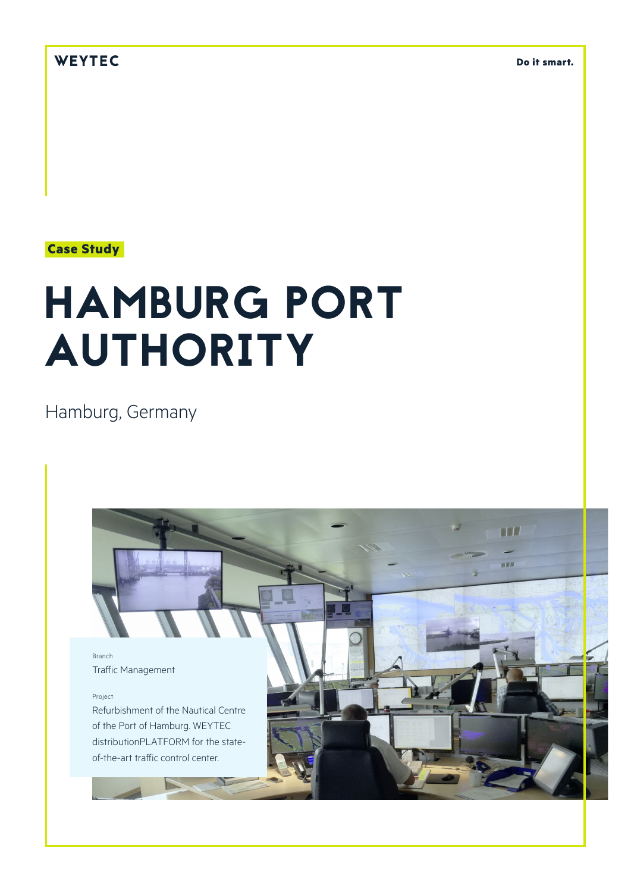# WEYTEC

**Do it smart.**

# **Case Study**

# HAMBURG PORT AUTHORITY

Hamburg, Germany

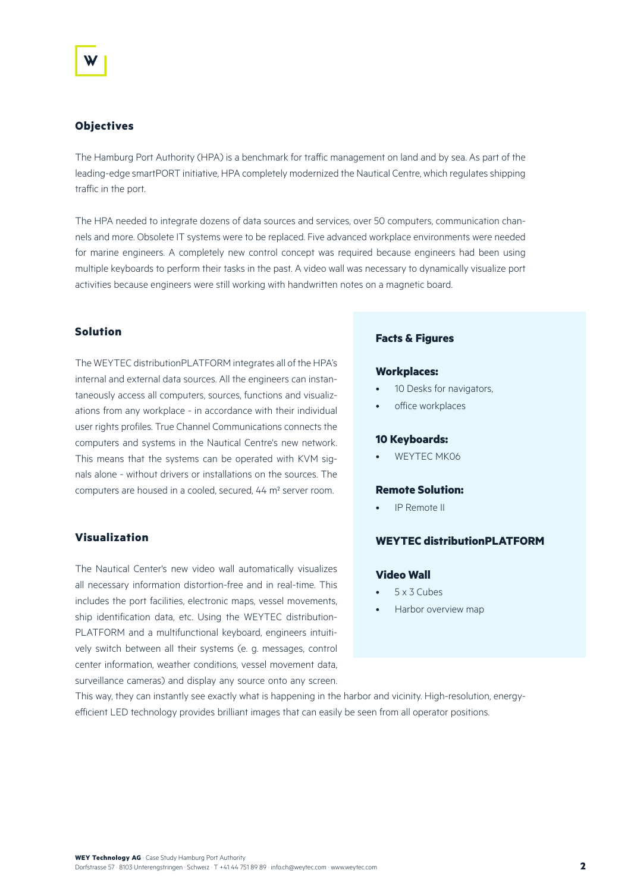# **Objectives**

The Hamburg Port Authority (HPA) is a benchmark for traffic management on land and by sea. As part of the leading-edge smartPORT initiative, HPA completely modernized the Nautical Centre, which regulates shipping traffic in the port.

The HPA needed to integrate dozens of data sources and services, over 50 computers, communication channels and more. Obsolete IT systems were to be replaced. Five advanced workplace environments were needed for marine engineers. A completely new control concept was required because engineers had been using multiple keyboards to perform their tasks in the past. A video wall was necessary to dynamically visualize port activities because engineers were still working with handwritten notes on a magnetic board.

# **Solution**

The WEYTEC distributionPLATFORM integrates all of the HPA's internal and external data sources. All the engineers can instantaneously access all computers, sources, functions and visualizations from any workplace - in accordance with their individual user rights profiles. True Channel Communications connects the computers and systems in the Nautical Centre's new network. This means that the systems can be operated with KVM signals alone - without drivers or installations on the sources. The computers are housed in a cooled, secured, 44 m² server room.

### **Visualization**

The Nautical Center's new video wall automatically visualizes all necessary information distortion-free and in real-time. This includes the port facilities, electronic maps, vessel movements, ship identification data, etc. Using the WEYTEC distribution-PLATFORM and a multifunctional keyboard, engineers intuitively switch between all their systems (e. g. messages, control center information, weather conditions, vessel movement data, surveillance cameras) and display any source onto any screen.

#### **Facts & Figures**

#### **Workplaces:**

- 10 Desks for navigators,
- office workplaces

#### **10 Keyboards:**

WEYTEC MK06

#### **Remote Solution:**

• IP Remote II

# **WEYTEC distributionPLATFORM**

## **Video Wall**

- 5 x 3 Cubes
- Harbor overview map

This way, they can instantly see exactly what is happening in the harbor and vicinity. High-resolution, energyefficient LED technology provides brilliant images that can easily be seen from all operator positions.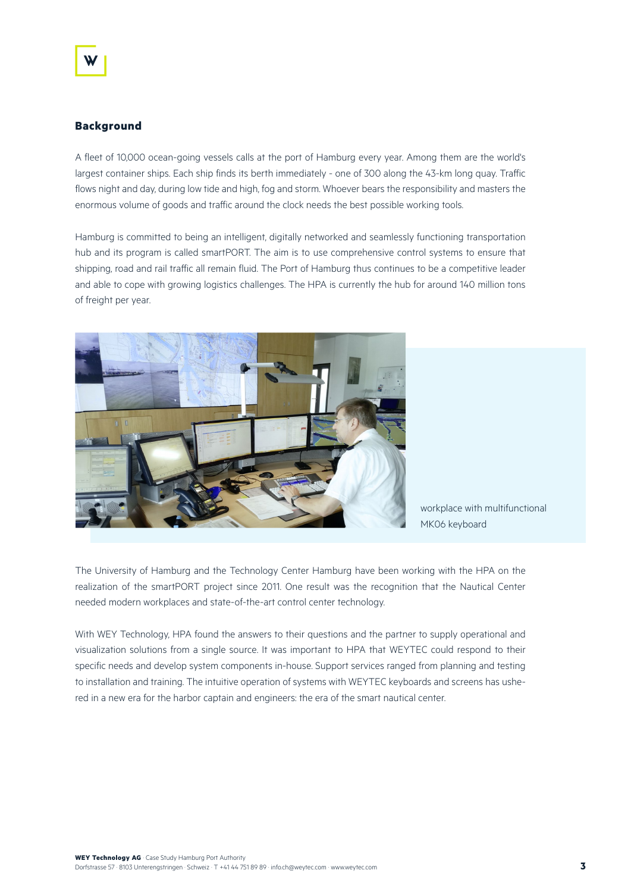## **Background**

A fleet of 10,000 ocean-going vessels calls at the port of Hamburg every year. Among them are the world's largest container ships. Each ship finds its berth immediately - one of 300 along the 43-km long quay. Traffic flows night and day, during low tide and high, fog and storm. Whoever bears the responsibility and masters the enormous volume of goods and traffic around the clock needs the best possible working tools.

Hamburg is committed to being an intelligent, digitally networked and seamlessly functioning transportation hub and its program is called smartPORT. The aim is to use comprehensive control systems to ensure that shipping, road and rail traffic all remain fluid. The Port of Hamburg thus continues to be a competitive leader and able to cope with growing logistics challenges. The HPA is currently the hub for around 140 million tons of freight per year.



workplace with multifunctional MK06 keyboard

The University of Hamburg and the Technology Center Hamburg have been working with the HPA on the realization of the smartPORT project since 2011. One result was the recognition that the Nautical Center needed modern workplaces and state-of-the-art control center technology.

With WEY Technology, HPA found the answers to their questions and the partner to supply operational and visualization solutions from a single source. It was important to HPA that WEYTEC could respond to their specific needs and develop system components in-house. Support services ranged from planning and testing to installation and training. The intuitive operation of systems with WEYTEC keyboards and screens has ushered in a new era for the harbor captain and engineers: the era of the smart nautical center.